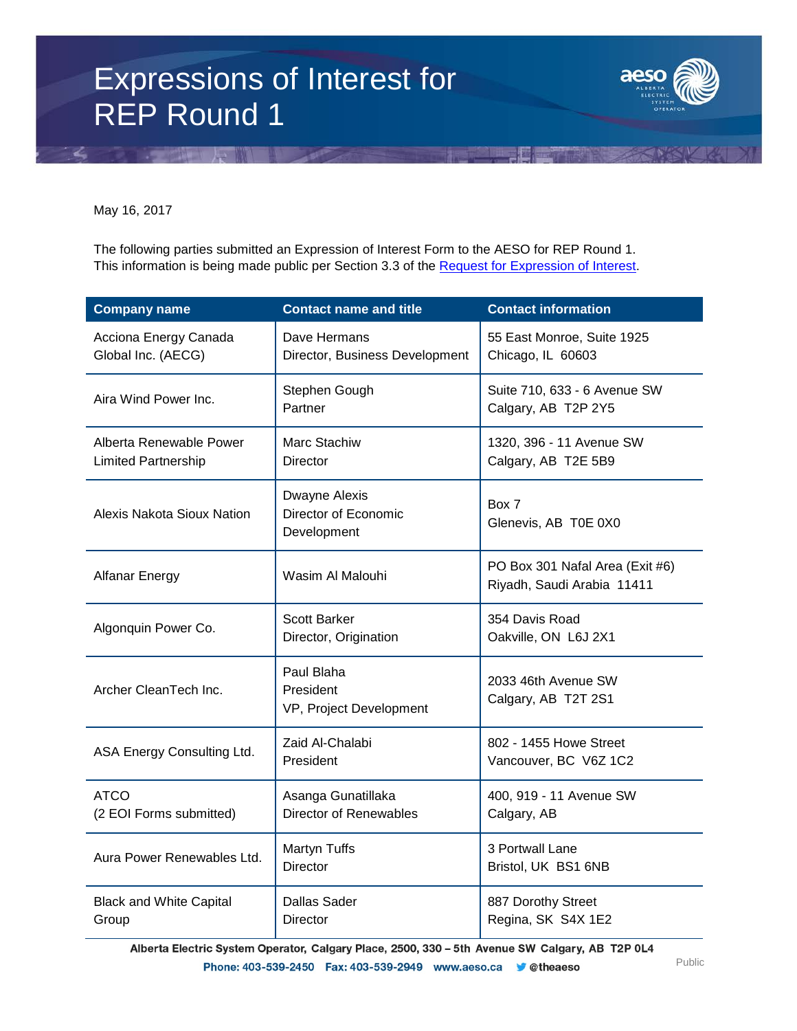# Expressions of Interest for REP Round 1



May 16, 2017

The following parties submitted an Expression of Interest Form to the AESO for REP Round 1. This information is being made public per Section 3.3 of the [Request for Expression of Interest.](https://www.aeso.ca/assets/Uploads/REP-Round-1-REOI-033117.pdf)

| <b>Company name</b>                                   | <b>Contact name and title</b>                        | <b>Contact information</b>                                    |
|-------------------------------------------------------|------------------------------------------------------|---------------------------------------------------------------|
| Acciona Energy Canada<br>Global Inc. (AECG)           | Dave Hermans<br>Director, Business Development       | 55 East Monroe, Suite 1925<br>Chicago, IL 60603               |
| Aira Wind Power Inc.                                  | Stephen Gough<br>Partner                             | Suite 710, 633 - 6 Avenue SW<br>Calgary, AB T2P 2Y5           |
| Alberta Renewable Power<br><b>Limited Partnership</b> | Marc Stachiw<br><b>Director</b>                      | 1320, 396 - 11 Avenue SW<br>Calgary, AB T2E 5B9               |
| Alexis Nakota Sioux Nation                            | Dwayne Alexis<br>Director of Economic<br>Development | Box 7<br>Glenevis, AB T0E 0X0                                 |
| <b>Alfanar Energy</b>                                 | Wasim Al Malouhi                                     | PO Box 301 Nafal Area (Exit #6)<br>Riyadh, Saudi Arabia 11411 |
| Algonquin Power Co.                                   | <b>Scott Barker</b><br>Director, Origination         | 354 Davis Road<br>Oakville, ON L6J 2X1                        |
| Archer CleanTech Inc.                                 | Paul Blaha<br>President<br>VP, Project Development   | 2033 46th Avenue SW<br>Calgary, AB T2T 2S1                    |
| ASA Energy Consulting Ltd.                            | Zaid Al-Chalabi<br>President                         | 802 - 1455 Howe Street<br>Vancouver, BC V6Z 1C2               |
| <b>ATCO</b><br>(2 EOI Forms submitted)                | Asanga Gunatillaka<br><b>Director of Renewables</b>  | 400, 919 - 11 Avenue SW<br>Calgary, AB                        |
| Aura Power Renewables Ltd.                            | Martyn Tuffs<br><b>Director</b>                      | 3 Portwall Lane<br>Bristol, UK BS1 6NB                        |
| <b>Black and White Capital</b><br>Group               | <b>Dallas Sader</b><br>Director                      | 887 Dorothy Street<br>Regina, SK S4X 1E2                      |

Alberta Electric System Operator, Calgary Place, 2500, 330 - 5th Avenue SW Calgary, AB T2P 0L4 Phone: 403-539-2450 Fax: 403-539-2949 www.aeso.ca **v**etheaeso Public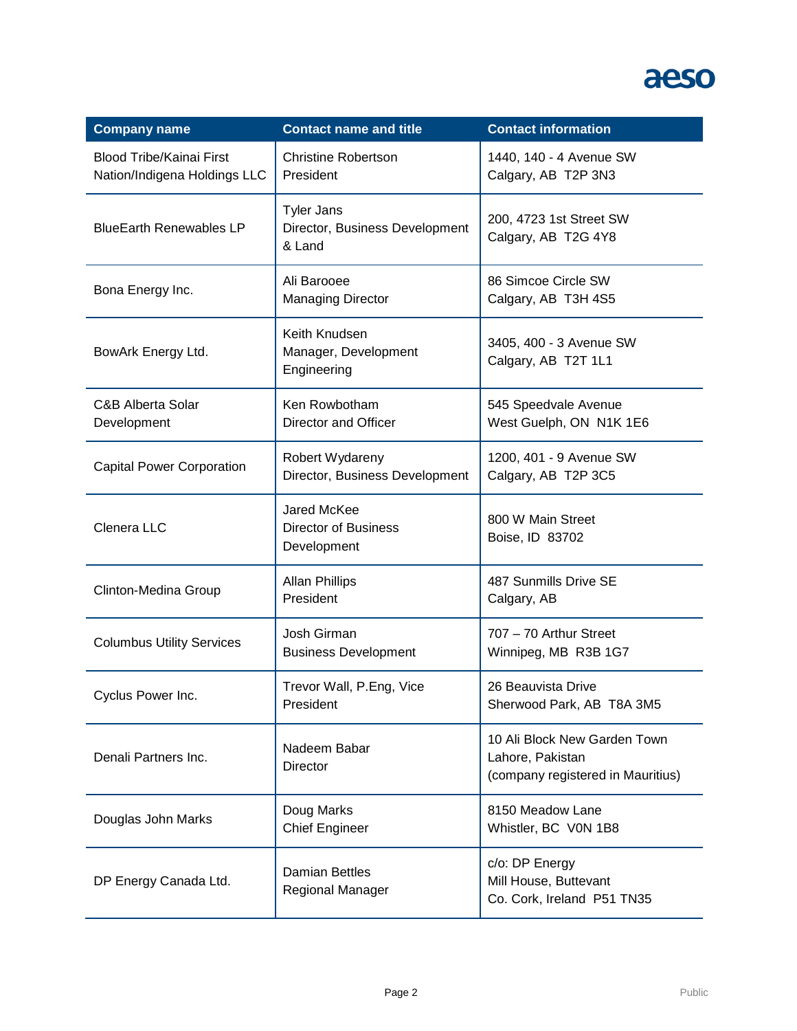| <b>Company name</b>                                             | <b>Contact name and title</b>                                 | <b>Contact information</b>                                                            |
|-----------------------------------------------------------------|---------------------------------------------------------------|---------------------------------------------------------------------------------------|
| <b>Blood Tribe/Kainai First</b><br>Nation/Indigena Holdings LLC | <b>Christine Robertson</b><br>President                       | 1440, 140 - 4 Avenue SW<br>Calgary, AB T2P 3N3                                        |
| <b>BlueEarth Renewables LP</b>                                  | <b>Tyler Jans</b><br>Director, Business Development<br>& Land | 200, 4723 1st Street SW<br>Calgary, AB T2G 4Y8                                        |
| Bona Energy Inc.                                                | Ali Barooee<br><b>Managing Director</b>                       | 86 Simcoe Circle SW<br>Calgary, AB T3H 4S5                                            |
| BowArk Energy Ltd.                                              | Keith Knudsen<br>Manager, Development<br>Engineering          | 3405, 400 - 3 Avenue SW<br>Calgary, AB T2T 1L1                                        |
| <b>C&amp;B Alberta Solar</b><br>Development                     | Ken Rowbotham<br>Director and Officer                         | 545 Speedvale Avenue<br>West Guelph, ON N1K 1E6                                       |
| <b>Capital Power Corporation</b>                                | Robert Wydareny<br>Director, Business Development             | 1200, 401 - 9 Avenue SW<br>Calgary, AB T2P 3C5                                        |
| Clenera LLC                                                     | Jared McKee<br><b>Director of Business</b><br>Development     | 800 W Main Street<br>Boise, ID 83702                                                  |
| Clinton-Medina Group                                            | <b>Allan Phillips</b><br>President                            | 487 Sunmills Drive SE<br>Calgary, AB                                                  |
| <b>Columbus Utility Services</b>                                | Josh Girman<br><b>Business Development</b>                    | 707 - 70 Arthur Street<br>Winnipeg, MB R3B 1G7                                        |
| Cyclus Power Inc.                                               | Trevor Wall, P.Eng, Vice<br>President                         | 26 Beauvista Drive<br>Sherwood Park, AB T8A 3M5                                       |
| Denali Partners Inc.                                            | Nadeem Babar<br><b>Director</b>                               | 10 Ali Block New Garden Town<br>Lahore, Pakistan<br>(company registered in Mauritius) |
| Douglas John Marks                                              | Doug Marks<br><b>Chief Engineer</b>                           | 8150 Meadow Lane<br>Whistler, BC V0N 1B8                                              |
| DP Energy Canada Ltd.                                           | <b>Damian Bettles</b><br>Regional Manager                     | c/o: DP Energy<br>Mill House, Buttevant<br>Co. Cork, Ireland P51 TN35                 |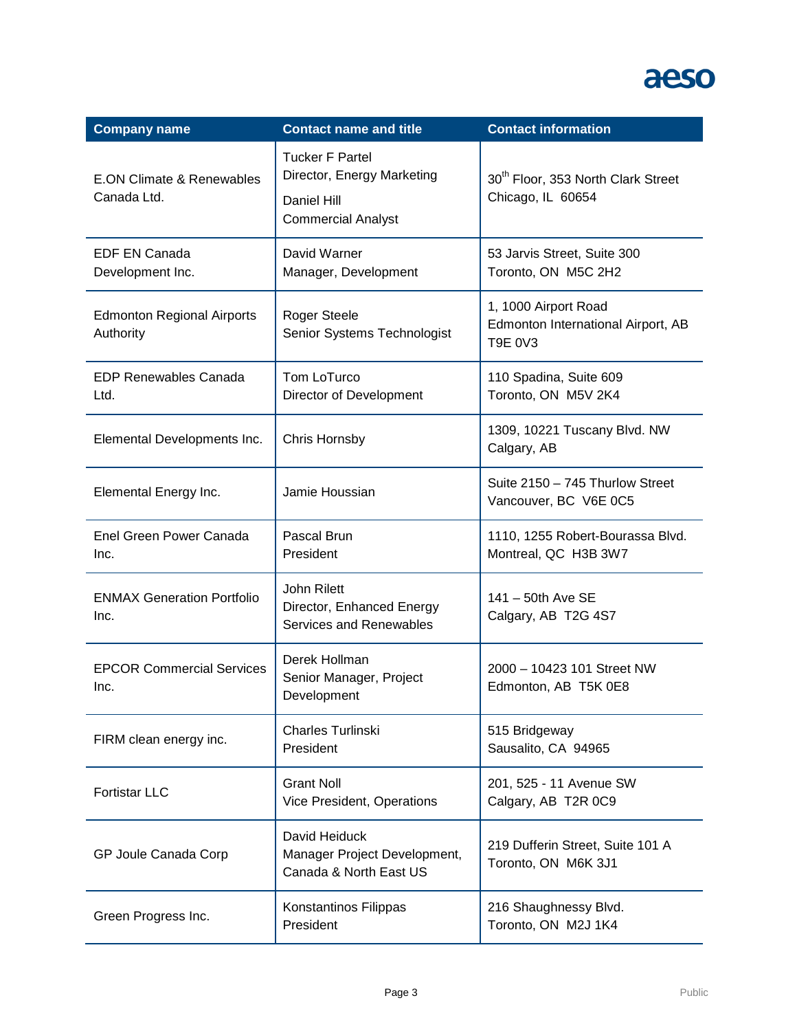| <b>Company name</b>                                 | <b>Contact name and title</b>                                                                    | <b>Contact information</b>                                                   |
|-----------------------------------------------------|--------------------------------------------------------------------------------------------------|------------------------------------------------------------------------------|
| <b>E.ON Climate &amp; Renewables</b><br>Canada Ltd. | <b>Tucker F Partel</b><br>Director, Energy Marketing<br>Daniel Hill<br><b>Commercial Analyst</b> | 30 <sup>th</sup> Floor, 353 North Clark Street<br>Chicago, IL 60654          |
| <b>EDF EN Canada</b><br>Development Inc.            | David Warner<br>Manager, Development                                                             | 53 Jarvis Street, Suite 300<br>Toronto, ON M5C 2H2                           |
| <b>Edmonton Regional Airports</b><br>Authority      | <b>Roger Steele</b><br>Senior Systems Technologist                                               | 1, 1000 Airport Road<br>Edmonton International Airport, AB<br><b>T9E 0V3</b> |
| <b>EDP Renewables Canada</b><br>Ltd.                | Tom LoTurco<br>Director of Development                                                           | 110 Spadina, Suite 609<br>Toronto, ON M5V 2K4                                |
| Elemental Developments Inc.                         | Chris Hornsby                                                                                    | 1309, 10221 Tuscany Blvd. NW<br>Calgary, AB                                  |
| Elemental Energy Inc.                               | Jamie Houssian                                                                                   | Suite 2150 - 745 Thurlow Street<br>Vancouver, BC V6E 0C5                     |
| Enel Green Power Canada<br>Inc.                     | Pascal Brun<br>President                                                                         | 1110, 1255 Robert-Bourassa Blvd.<br>Montreal, QC H3B 3W7                     |
| <b>ENMAX Generation Portfolio</b><br>Inc.           | John Rilett<br>Director, Enhanced Energy<br>Services and Renewables                              | 141 - 50th Ave SE<br>Calgary, AB T2G 4S7                                     |
| <b>EPCOR Commercial Services</b><br>Inc.            | Derek Hollman<br>Senior Manager, Project<br>Development                                          | 2000 - 10423 101 Street NW<br>Edmonton, AB T5K 0E8                           |
| FIRM clean energy inc.                              | Charles Turlinski<br>President                                                                   | 515 Bridgeway<br>Sausalito, CA 94965                                         |
| <b>Fortistar LLC</b>                                | <b>Grant Noll</b><br>Vice President, Operations                                                  | 201, 525 - 11 Avenue SW<br>Calgary, AB T2R 0C9                               |
| GP Joule Canada Corp                                | David Heiduck<br>Manager Project Development,<br>Canada & North East US                          | 219 Dufferin Street, Suite 101 A<br>Toronto, ON M6K 3J1                      |
| Green Progress Inc.                                 | Konstantinos Filippas<br>President                                                               | 216 Shaughnessy Blvd.<br>Toronto, ON M2J 1K4                                 |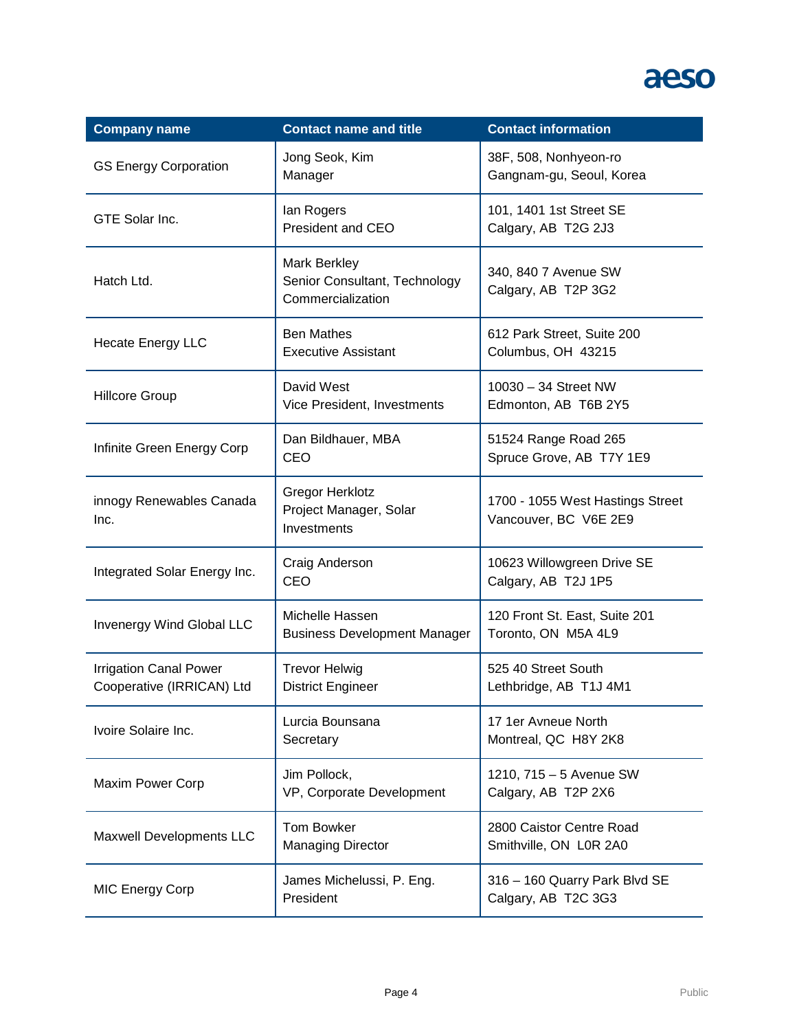| <b>Company name</b>                                        | <b>Contact name and title</b>                                      | <b>Contact information</b>                                |
|------------------------------------------------------------|--------------------------------------------------------------------|-----------------------------------------------------------|
| <b>GS Energy Corporation</b>                               | Jong Seok, Kim<br>Manager                                          | 38F, 508, Nonhyeon-ro<br>Gangnam-gu, Seoul, Korea         |
| GTE Solar Inc.                                             | lan Rogers<br>President and CEO                                    | 101, 1401 1st Street SE<br>Calgary, AB T2G 2J3            |
| Hatch Ltd.                                                 | Mark Berkley<br>Senior Consultant, Technology<br>Commercialization | 340, 840 7 Avenue SW<br>Calgary, AB T2P 3G2               |
| <b>Hecate Energy LLC</b>                                   | <b>Ben Mathes</b><br><b>Executive Assistant</b>                    | 612 Park Street, Suite 200<br>Columbus, OH 43215          |
| <b>Hillcore Group</b>                                      | David West<br>Vice President, Investments                          | 10030 - 34 Street NW<br>Edmonton, AB T6B 2Y5              |
| Infinite Green Energy Corp                                 | Dan Bildhauer, MBA<br>CEO                                          | 51524 Range Road 265<br>Spruce Grove, AB T7Y 1E9          |
| innogy Renewables Canada<br>Inc.                           | <b>Gregor Herklotz</b><br>Project Manager, Solar<br>Investments    | 1700 - 1055 West Hastings Street<br>Vancouver, BC V6E 2E9 |
| Integrated Solar Energy Inc.                               | Craig Anderson<br>CEO                                              | 10623 Willowgreen Drive SE<br>Calgary, AB T2J 1P5         |
| Invenergy Wind Global LLC                                  | Michelle Hassen<br><b>Business Development Manager</b>             | 120 Front St. East, Suite 201<br>Toronto, ON M5A 4L9      |
| <b>Irrigation Canal Power</b><br>Cooperative (IRRICAN) Ltd | <b>Trevor Helwig</b><br><b>District Engineer</b>                   | 525 40 Street South<br>Lethbridge, AB T1J 4M1             |
| Ivoire Solaire Inc.                                        | Lurcia Bounsana<br>Secretary                                       | 17 1er Avneue North<br>Montreal, QC H8Y 2K8               |
| Maxim Power Corp                                           | Jim Pollock,<br>VP, Corporate Development                          | 1210, 715 - 5 Avenue SW<br>Calgary, AB T2P 2X6            |
| Maxwell Developments LLC                                   | <b>Tom Bowker</b><br><b>Managing Director</b>                      | 2800 Caistor Centre Road<br>Smithville, ON L0R 2A0        |
| <b>MIC Energy Corp</b>                                     | James Michelussi, P. Eng.<br>President                             | 316 - 160 Quarry Park Blvd SE<br>Calgary, AB T2C 3G3      |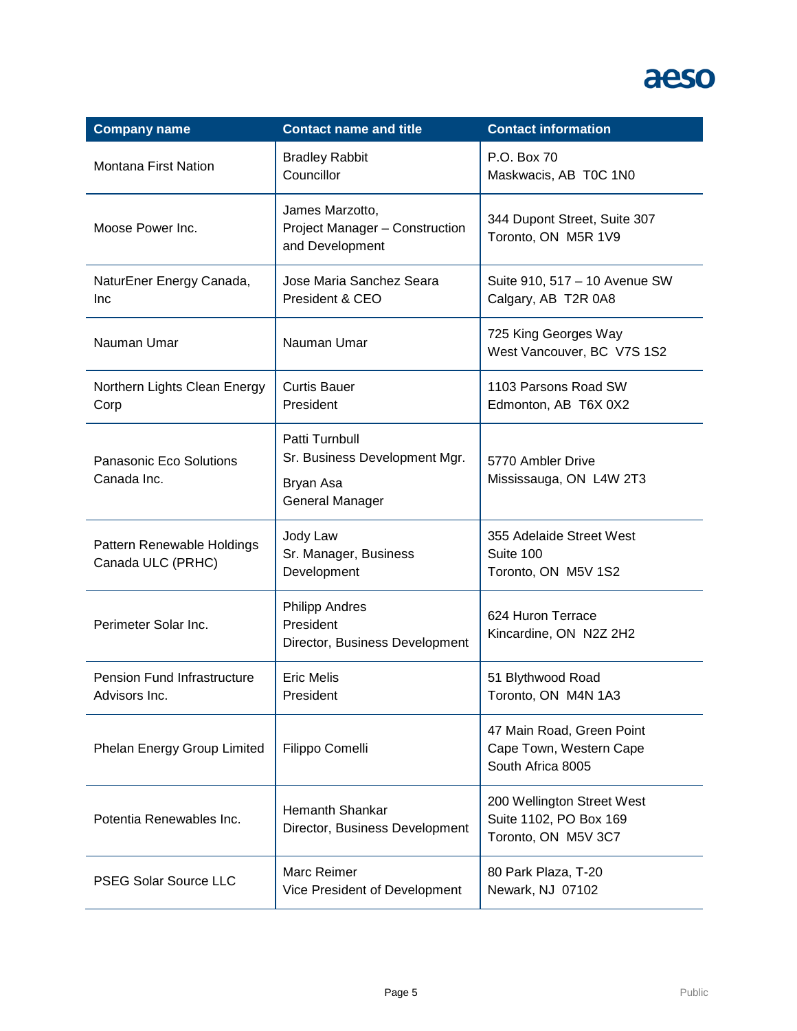| <b>Company name</b>                             | <b>Contact name and title</b>                                                          | <b>Contact information</b>                                                  |
|-------------------------------------------------|----------------------------------------------------------------------------------------|-----------------------------------------------------------------------------|
| <b>Montana First Nation</b>                     | <b>Bradley Rabbit</b><br>Councillor                                                    | P.O. Box 70<br>Maskwacis, AB T0C 1N0                                        |
| Moose Power Inc.                                | James Marzotto,<br>Project Manager - Construction<br>and Development                   | 344 Dupont Street, Suite 307<br>Toronto, ON M5R 1V9                         |
| NaturEner Energy Canada,<br>Inc                 | Jose Maria Sanchez Seara<br>President & CEO                                            | Suite 910, 517 - 10 Avenue SW<br>Calgary, AB T2R 0A8                        |
| Nauman Umar                                     | Nauman Umar                                                                            | 725 King Georges Way<br>West Vancouver, BC V7S 1S2                          |
| Northern Lights Clean Energy<br>Corp            | <b>Curtis Bauer</b><br>President                                                       | 1103 Parsons Road SW<br>Edmonton, AB T6X 0X2                                |
| Panasonic Eco Solutions<br>Canada Inc.          | Patti Turnbull<br>Sr. Business Development Mgr.<br>Bryan Asa<br><b>General Manager</b> | 5770 Ambler Drive<br>Mississauga, ON L4W 2T3                                |
| Pattern Renewable Holdings<br>Canada ULC (PRHC) | Jody Law<br>Sr. Manager, Business<br>Development                                       | 355 Adelaide Street West<br>Suite 100<br>Toronto, ON M5V 1S2                |
| Perimeter Solar Inc.                            | <b>Philipp Andres</b><br>President<br>Director, Business Development                   | 624 Huron Terrace<br>Kincardine, ON N2Z 2H2                                 |
| Pension Fund Infrastructure<br>Advisors Inc.    | <b>Eric Melis</b><br>President                                                         | 51 Blythwood Road<br>Toronto, ON M4N 1A3                                    |
| Phelan Energy Group Limited                     | Filippo Comelli                                                                        | 47 Main Road, Green Point<br>Cape Town, Western Cape<br>South Africa 8005   |
| Potentia Renewables Inc.                        | <b>Hemanth Shankar</b><br>Director, Business Development                               | 200 Wellington Street West<br>Suite 1102, PO Box 169<br>Toronto, ON M5V 3C7 |
| <b>PSEG Solar Source LLC</b>                    | Marc Reimer<br>Vice President of Development                                           | 80 Park Plaza, T-20<br>Newark, NJ 07102                                     |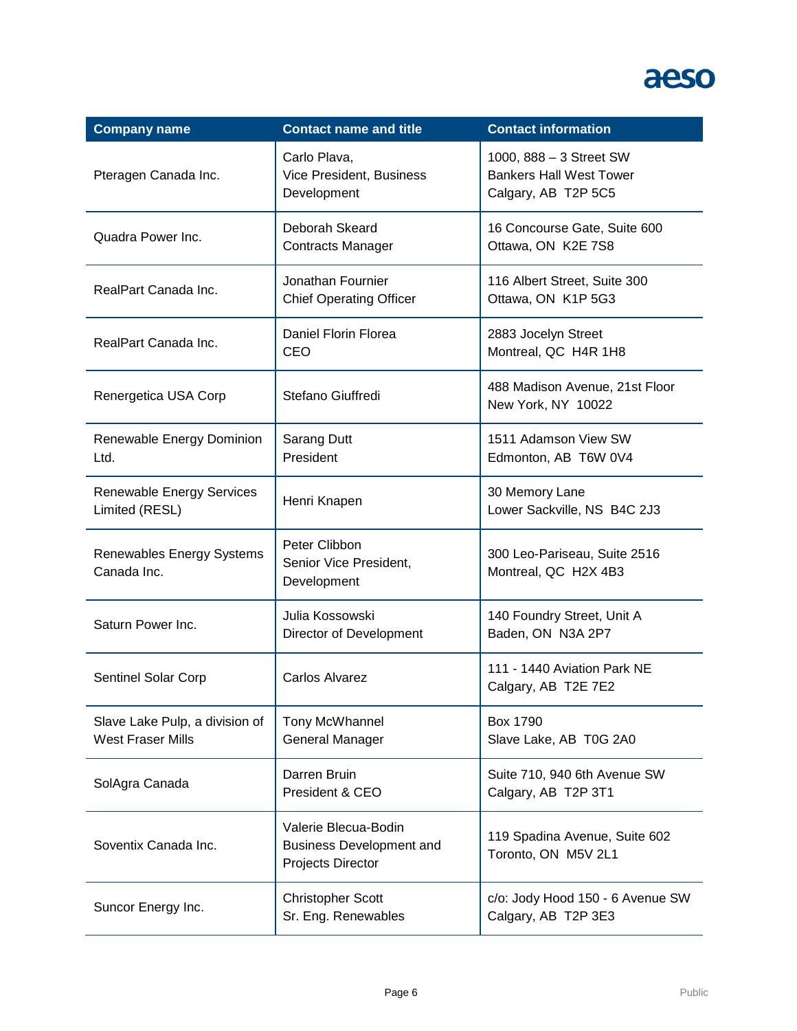| <b>Company name</b>                                        | <b>Contact name and title</b>                                                | <b>Contact information</b>                                                       |
|------------------------------------------------------------|------------------------------------------------------------------------------|----------------------------------------------------------------------------------|
| Pteragen Canada Inc.                                       | Carlo Plava,<br>Vice President, Business<br>Development                      | 1000, 888 - 3 Street SW<br><b>Bankers Hall West Tower</b><br>Calgary, AB T2P 5C5 |
| Quadra Power Inc.                                          | Deborah Skeard<br><b>Contracts Manager</b>                                   | 16 Concourse Gate, Suite 600<br>Ottawa, ON K2E 7S8                               |
| RealPart Canada Inc.                                       | Jonathan Fournier<br><b>Chief Operating Officer</b>                          | 116 Albert Street, Suite 300<br>Ottawa, ON K1P 5G3                               |
| RealPart Canada Inc.                                       | Daniel Florin Florea<br>CEO                                                  | 2883 Jocelyn Street<br>Montreal, QC H4R 1H8                                      |
| Renergetica USA Corp                                       | Stefano Giuffredi                                                            | 488 Madison Avenue, 21st Floor<br>New York, NY 10022                             |
| Renewable Energy Dominion<br>Ltd.                          | Sarang Dutt<br>President                                                     | 1511 Adamson View SW<br>Edmonton, AB T6W 0V4                                     |
| <b>Renewable Energy Services</b><br>Limited (RESL)         | Henri Knapen                                                                 | 30 Memory Lane<br>Lower Sackville, NS B4C 2J3                                    |
| Renewables Energy Systems<br>Canada Inc.                   | Peter Clibbon<br>Senior Vice President,<br>Development                       | 300 Leo-Pariseau, Suite 2516<br>Montreal, QC H2X 4B3                             |
| Saturn Power Inc.                                          | Julia Kossowski<br>Director of Development                                   | 140 Foundry Street, Unit A<br>Baden, ON N3A 2P7                                  |
| Sentinel Solar Corp                                        | Carlos Alvarez                                                               | 111 - 1440 Aviation Park NE<br>Calgary, AB T2E 7E2                               |
| Slave Lake Pulp, a division of<br><b>West Fraser Mills</b> | Tony McWhannel<br><b>General Manager</b>                                     | <b>Box 1790</b><br>Slave Lake, AB T0G 2A0                                        |
| SolAgra Canada                                             | Darren Bruin<br>President & CEO                                              | Suite 710, 940 6th Avenue SW<br>Calgary, AB T2P 3T1                              |
| Soventix Canada Inc.                                       | Valerie Blecua-Bodin<br><b>Business Development and</b><br>Projects Director | 119 Spadina Avenue, Suite 602<br>Toronto, ON M5V 2L1                             |
| Suncor Energy Inc.                                         | <b>Christopher Scott</b><br>Sr. Eng. Renewables                              | c/o: Jody Hood 150 - 6 Avenue SW<br>Calgary, AB T2P 3E3                          |